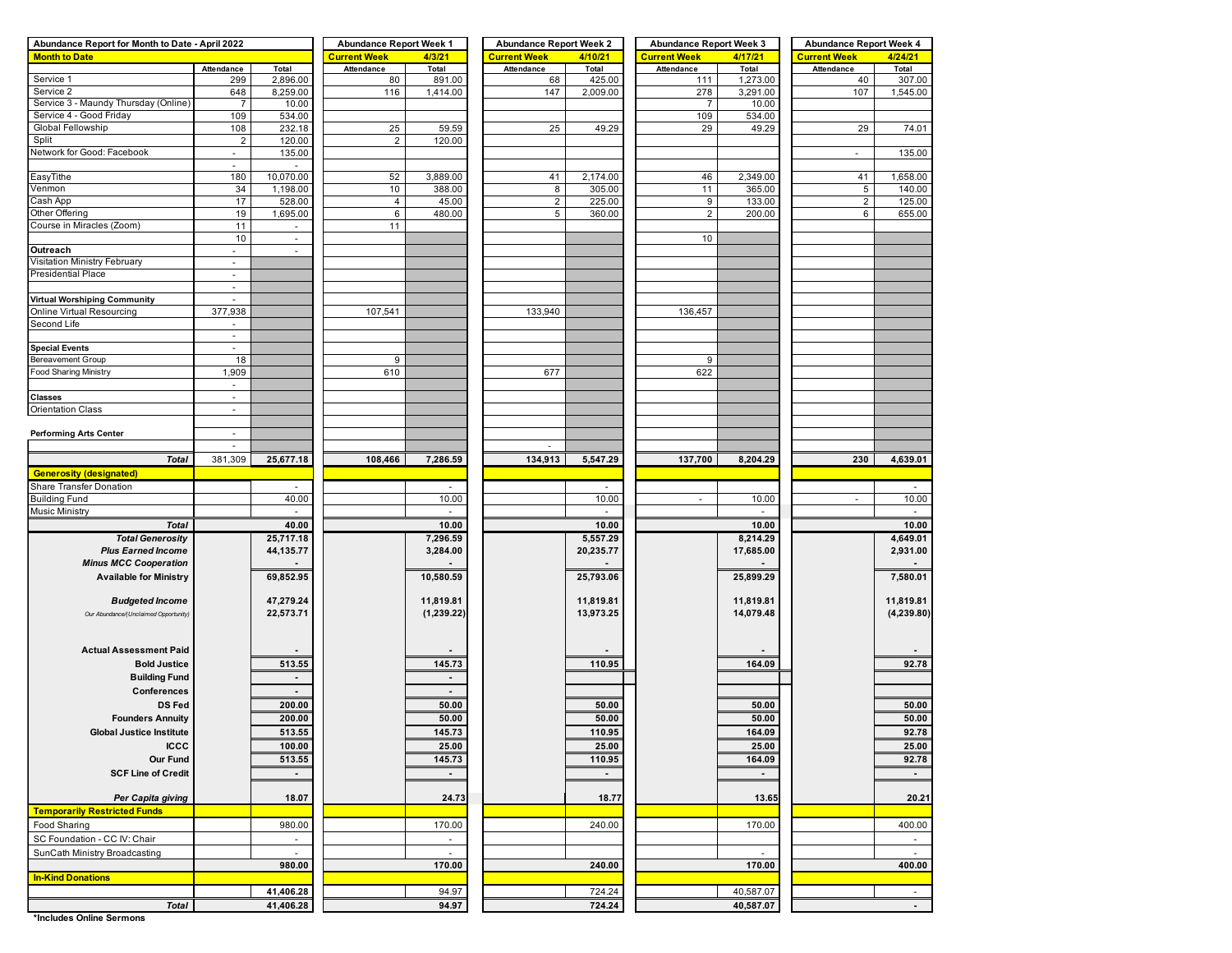| Abundance Report for Month to Date - April 2022 |                          |                              | <b>Abundance Report Week 1</b> |                | <b>Abundance Report Week 2</b> |           | <b>Abundance Report Week 3</b> |           | <b>Abundance Report Week 4</b> |            |  |  |
|-------------------------------------------------|--------------------------|------------------------------|--------------------------------|----------------|--------------------------------|-----------|--------------------------------|-----------|--------------------------------|------------|--|--|
| <b>Month to Date</b>                            |                          |                              | <b>Current Week</b>            | 4/3/21         | <b>Current Week</b>            | 4/10/21   | <b>Current Week</b>            | 4/17/21   | <b>Current Week</b>            | 4/24/21    |  |  |
|                                                 | Attendance               | Total                        | Attendance                     | Total          | Attendance                     | Total     | Attendance                     | Total     | Attendance                     | Total      |  |  |
| Service 1                                       | 299                      | 2,896.00                     | 80                             | 891.00         | 68                             | 425.00    | 111                            | 1,273.00  | 40                             | 307.00     |  |  |
| Service 2                                       | 648                      | 8,259.00                     | 116                            | 1,414.00       | 147                            | 2,009.00  | 278                            | 3,291.00  | 107                            | 1,545.00   |  |  |
| Service 3 - Maundy Thursday (Online)            | $\overline{7}$           | 10.00                        |                                |                |                                |           | $\overline{7}$                 | 10.00     |                                |            |  |  |
| Service 4 - Good Friday                         | 109                      | 534.00                       |                                |                |                                |           | 109                            | 534.00    |                                |            |  |  |
| Global Fellowship                               | 108                      | 232.18                       | 25                             | 59.59          | 25                             | 49.29     | 29                             | 49.29     | 29                             | 74.01      |  |  |
| Split                                           | $\overline{c}$           | 120.00                       | $\overline{c}$                 | 120.00         |                                |           |                                |           |                                |            |  |  |
| Network for Good: Facebook                      | $\overline{\phantom{a}}$ | 135.00                       |                                |                |                                |           |                                |           | $\overline{\phantom{a}}$       | 135.00     |  |  |
|                                                 | $\sim$                   |                              |                                |                |                                |           |                                |           |                                |            |  |  |
| EasyTithe                                       | 180                      | 10,070.00                    | 52                             | 3,889.00       | 41                             | 2,174.00  | 46                             | 2,349.00  | 41                             | 1,658.00   |  |  |
| Venmon                                          | 34                       | 1,198.00                     | 10                             | 388.00         | 8                              | 305.00    | 11                             | 365.00    | 5                              | 140.00     |  |  |
| Cash App                                        | 17                       | 528.00                       | $\overline{4}$                 | 45.00          | $\overline{c}$                 | 225.00    | 9                              | 133.00    | $\overline{2}$                 | 125.00     |  |  |
| Other Offering                                  | 19                       | 1,695.00                     | 6                              | 480.00         | 5                              | 360.00    | $\overline{2}$                 | 200.00    | 6                              | 655.00     |  |  |
| Course in Miracles (Zoom)                       | 11                       | $\overline{\phantom{a}}$     | 11                             |                |                                |           |                                |           |                                |            |  |  |
|                                                 | 10                       | $\blacksquare$               |                                |                |                                |           | 10                             |           |                                |            |  |  |
| Outreach                                        | $\overline{\phantom{a}}$ | $\overline{\phantom{a}}$     |                                |                |                                |           |                                |           |                                |            |  |  |
| Visitation Ministry February                    | $\blacksquare$           |                              |                                |                |                                |           |                                |           |                                |            |  |  |
| <b>Presidential Place</b>                       | $\blacksquare$           |                              |                                |                |                                |           |                                |           |                                |            |  |  |
|                                                 | $\overline{\phantom{a}}$ |                              |                                |                |                                |           |                                |           |                                |            |  |  |
| <b>Virtual Worshiping Community</b>             | $\mathbf{r}$             |                              |                                |                |                                |           |                                |           |                                |            |  |  |
| Online Virtual Resourcing                       | 377,938                  |                              | 107,541                        |                | 133,940                        |           | 136,457                        |           |                                |            |  |  |
| Second Life                                     | $\overline{\phantom{a}}$ |                              |                                |                |                                |           |                                |           |                                |            |  |  |
|                                                 | $\blacksquare$           |                              |                                |                |                                |           |                                |           |                                |            |  |  |
| <b>Special Events</b>                           | $\overline{\phantom{a}}$ |                              |                                |                |                                |           |                                |           |                                |            |  |  |
| Bereavement Group                               | 18                       |                              | 9                              |                |                                |           | 9                              |           |                                |            |  |  |
| Food Sharing Ministry                           | 1,909                    |                              | 610                            |                | 677                            |           | 622                            |           |                                |            |  |  |
|                                                 | $\blacksquare$           |                              |                                |                |                                |           |                                |           |                                |            |  |  |
| <b>Classes</b>                                  | $\omega$                 |                              |                                |                |                                |           |                                |           |                                |            |  |  |
| <b>Orientation Class</b>                        | $\overline{\phantom{a}}$ |                              |                                |                |                                |           |                                |           |                                |            |  |  |
|                                                 |                          |                              |                                |                |                                |           |                                |           |                                |            |  |  |
| <b>Performing Arts Center</b>                   | $\overline{\phantom{a}}$ |                              |                                |                |                                |           |                                |           |                                |            |  |  |
|                                                 | $\overline{\phantom{a}}$ |                              |                                |                |                                |           |                                |           |                                |            |  |  |
| <b>Total</b>                                    | 381,309                  | 25,677.18                    | 108,466                        | 7,286.59       | 134,913                        | 5,547.29  | 137,700                        | 8,204.29  | 230                            | 4,639.01   |  |  |
| <b>Generosity (designated)</b>                  |                          |                              |                                |                |                                |           |                                |           |                                |            |  |  |
| <b>Share Transfer Donation</b>                  |                          |                              |                                |                |                                |           |                                |           |                                |            |  |  |
| <b>Building Fund</b>                            |                          | 40.00                        |                                | 10.00          |                                | 10.00     | $\overline{\phantom{a}}$       | 10.00     | ÷                              | 10.00      |  |  |
| <b>Music Ministry</b>                           |                          | $\overline{\phantom{a}}$     |                                | $\sim$         |                                |           |                                |           |                                | $\sim$     |  |  |
| <b>Total</b>                                    |                          | 40.00                        |                                | 10.00          |                                | 10.00     |                                | 10.00     |                                | 10.00      |  |  |
| <b>Total Generosity</b>                         |                          | 25,717.18                    |                                | 7,296.59       |                                | 5,557.29  |                                | 8,214.29  |                                | 4,649.01   |  |  |
| <b>Plus Earned Income</b>                       |                          | 44,135.77                    |                                | 3,284.00       |                                | 20,235.77 |                                | 17,685.00 |                                | 2,931.00   |  |  |
| <b>Minus MCC Cooperation</b>                    |                          |                              |                                |                |                                |           |                                |           |                                |            |  |  |
|                                                 |                          |                              |                                |                |                                |           |                                |           |                                |            |  |  |
| <b>Available for Ministry</b>                   |                          | 69,852.95                    |                                | 10,580.59      |                                | 25,793.06 |                                | 25,899.29 |                                | 7,580.01   |  |  |
|                                                 |                          |                              |                                |                |                                |           |                                |           |                                |            |  |  |
| <b>Budgeted Income</b>                          |                          | 47,279.24                    |                                | 11,819.81      |                                | 11,819.81 |                                | 11,819.81 |                                | 11,819.81  |  |  |
| Our Abundance/(Unclaimed Opportunity)           |                          | 22,573.71                    |                                | (1,239.22)     |                                | 13,973.25 |                                | 14,079.48 |                                | (4,239.80) |  |  |
|                                                 |                          |                              |                                |                |                                |           |                                |           |                                |            |  |  |
|                                                 |                          |                              |                                |                |                                |           |                                |           |                                |            |  |  |
| <b>Actual Assessment Paid</b>                   |                          |                              |                                |                |                                |           |                                |           |                                |            |  |  |
| <b>Bold Justice</b>                             |                          | 513.55                       |                                | 145.73         |                                | 110.95    |                                | 164.09    |                                | 92.78      |  |  |
| <b>Building Fund</b>                            |                          | $\qquad \qquad \blacksquare$ |                                | $\blacksquare$ |                                |           |                                |           |                                |            |  |  |
| Conferences                                     |                          | $\blacksquare$               |                                | $\blacksquare$ |                                |           |                                |           |                                |            |  |  |
| <b>DS Fed</b>                                   |                          | 200.00                       |                                | 50.00          |                                | 50.00     |                                | 50.00     |                                | 50.00      |  |  |
| <b>Founders Annuity</b>                         |                          | 200.00                       |                                | 50.00          |                                | 50.00     |                                | 50.00     |                                | 50.00      |  |  |
| <b>Global Justice Institute</b>                 |                          | 513.55                       |                                | 145.73         |                                | 110.95    |                                | 164.09    |                                | 92.78      |  |  |
| <b>ICCC</b>                                     |                          | 100.00                       |                                | 25.00          |                                | 25.00     |                                | 25.00     |                                | 25.00      |  |  |
| <b>Our Fund</b>                                 |                          | 513.55                       |                                |                |                                |           |                                | 164.09    |                                | 92.78      |  |  |
|                                                 |                          |                              |                                | 145.73         |                                | 110.95    |                                |           |                                |            |  |  |
| <b>SCF Line of Credit</b>                       |                          | $\blacksquare$               |                                | $\sim$         |                                | $\sim$    |                                | $\sim$    |                                | $\sim$     |  |  |
|                                                 |                          |                              |                                |                |                                |           |                                |           |                                |            |  |  |
| Per Capita giving                               |                          | 18.07                        |                                | 24.73          |                                | 18.77     |                                | 13.65     |                                | 20.21      |  |  |
| <b>Temporarily Restricted Funds</b>             |                          |                              |                                |                |                                |           |                                |           |                                |            |  |  |
| Food Sharing                                    |                          | 980.00                       |                                | 170.00         |                                | 240.00    |                                | 170.00    |                                | 400.00     |  |  |
| SC Foundation - CC IV: Chair                    |                          | $\sim$                       |                                | $\sim$         |                                |           |                                |           |                                | $\sim$     |  |  |
| SunCath Ministry Broadcasting                   |                          | $\sim$                       |                                | $\sim$         |                                |           |                                | $\sim$    |                                | $\sim$     |  |  |
|                                                 |                          | 980.00                       |                                | 170.00         |                                | 240.00    |                                | 170.00    |                                | 400.00     |  |  |
| <b>In-Kind Donations</b>                        |                          |                              |                                |                |                                |           |                                |           |                                |            |  |  |
|                                                 |                          | 41,406.28                    |                                | 94.97          |                                | 724.24    |                                | 40,587.07 |                                | $\sim$     |  |  |
| <b>Total</b>                                    |                          | 41,406.28                    |                                | 94.97          |                                | 724.24    |                                | 40,587.07 |                                | $\sim$     |  |  |
|                                                 |                          |                              |                                |                |                                |           |                                |           |                                |            |  |  |

**\*Includes Online Sermons**